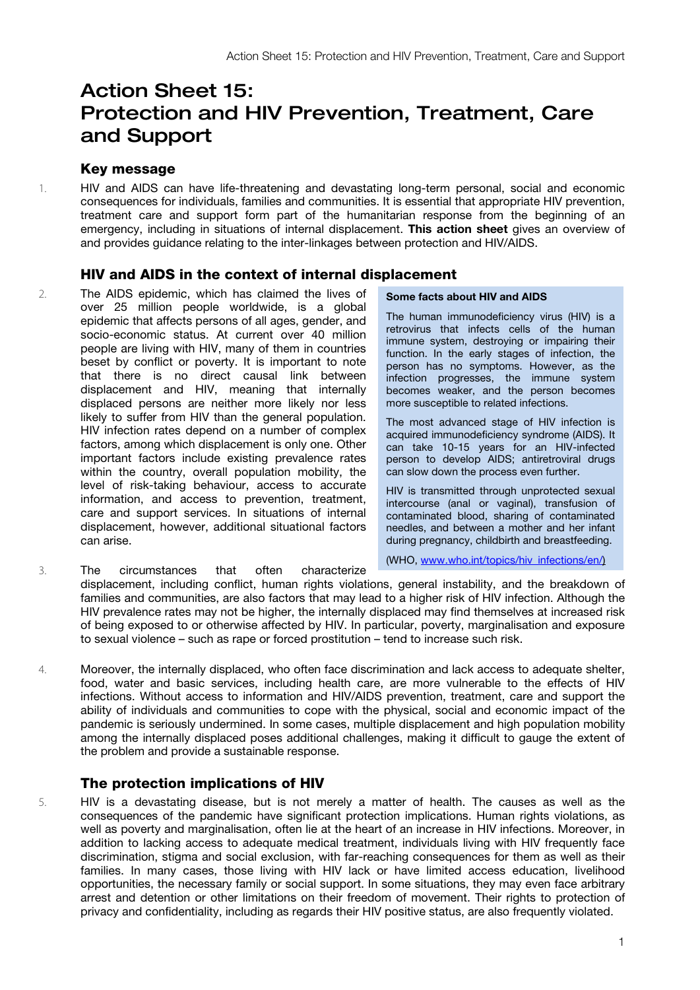# Action Sheet 15: Protection and HIV Prevention, Treatment, Care and Support

## Key message

1. HIV and AIDS can have life-threatening and devastating long-term personal, social and economic consequences for individuals, families and communities. It is essential that appropriate HIV prevention, treatment care and support form part of the humanitarian response from the beginning of an emergency, including in situations of internal displacement. This action sheet gives an overview of and provides guidance relating to the inter-linkages between protection and HIV/AIDS.

## HIV and AIDS in the context of internal displacement

2. The AIDS epidemic, which has claimed the lives of over 25 million people worldwide, is a global epidemic that affects persons of all ages, gender, and socio-economic status. At current over 40 million people are living with HIV, many of them in countries beset by conflict or poverty. It is important to note that there is no direct causal link between displacement and HIV, meaning that internally displaced persons are neither more likely nor less likely to suffer from HIV than the general population. HIV infection rates depend on a number of complex factors, among which displacement is only one. Other important factors include existing prevalence rates within the country, overall population mobility, the level of risk-taking behaviour, access to accurate information, and access to prevention, treatment, care and support services. In situations of internal displacement, however, additional situational factors can arise.

#### Some facts about HIV and AIDS

The human immunodeficiency virus (HIV) is a retrovirus that infects cells of the human immune system, destroying or impairing their function. In the early stages of infection, the person has no symptoms. However, as the infection progresses, the immune system becomes weaker, and the person becomes more susceptible to related infections.

The most advanced stage of HIV infection is acquired immunodeficiency syndrome (AIDS). It can take 10-15 years for an HIV-infected person to develop AIDS; antiretroviral drugs can slow down the process even further.

HIV is transmitted through unprotected sexual intercourse (anal or vaginal), transfusion of contaminated blood, sharing of contaminated needles, and between a mother and her infant during pregnancy, childbirth and breastfeeding.

(WHO, www.who.int/topics/hiv\_infections/en/)

- 3. The circumstances that often characterize displacement, including conflict, human rights violations, general instability, and the breakdown of families and communities, are also factors that may lead to a higher risk of HIV infection. Although the HIV prevalence rates may not be higher, the internally displaced may find themselves at increased risk of being exposed to or otherwise affected by HIV. In particular, poverty, marginalisation and exposure to sexual violence – such as rape or forced prostitution – tend to increase such risk.
- 4. Moreover, the internally displaced, who often face discrimination and lack access to adequate shelter, food, water and basic services, including health care, are more vulnerable to the effects of HIV infections. Without access to information and HIV/AIDS prevention, treatment, care and support the ability of individuals and communities to cope with the physical, social and economic impact of the pandemic is seriously undermined. In some cases, multiple displacement and high population mobility among the internally displaced poses additional challenges, making it difficult to gauge the extent of the problem and provide a sustainable response.

## The protection implications of HIV

5. HIV is a devastating disease, but is not merely a matter of health. The causes as well as the consequences of the pandemic have significant protection implications. Human rights violations, as well as poverty and marginalisation, often lie at the heart of an increase in HIV infections. Moreover, in addition to lacking access to adequate medical treatment, individuals living with HIV frequently face discrimination, stigma and social exclusion, with far-reaching consequences for them as well as their families. In many cases, those living with HIV lack or have limited access education, livelihood opportunities, the necessary family or social support. In some situations, they may even face arbitrary arrest and detention or other limitations on their freedom of movement. Their rights to protection of privacy and confidentiality, including as regards their HIV positive status, are also frequently violated.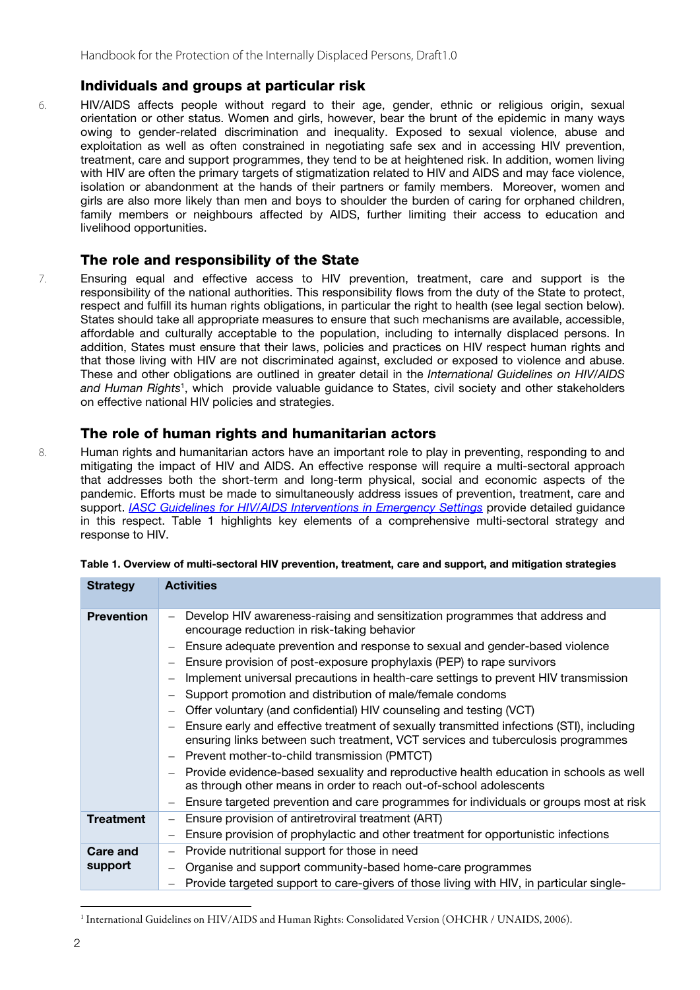## Individuals and groups at particular risk

6. HIV/AIDS affects people without regard to their age, gender, ethnic or religious origin, sexual orientation or other status. Women and girls, however, bear the brunt of the epidemic in many ways owing to gender-related discrimination and inequality. Exposed to sexual violence, abuse and exploitation as well as often constrained in negotiating safe sex and in accessing HIV prevention, treatment, care and support programmes, they tend to be at heightened risk. In addition, women living with HIV are often the primary targets of stigmatization related to HIV and AIDS and may face violence, isolation or abandonment at the hands of their partners or family members. Moreover, women and girls are also more likely than men and boys to shoulder the burden of caring for orphaned children, family members or neighbours affected by AIDS, further limiting their access to education and livelihood opportunities.

## The role and responsibility of the State

7. Ensuring equal and effective access to HIV prevention, treatment, care and support is the responsibility of the national authorities. This responsibility flows from the duty of the State to protect, respect and fulfill its human rights obligations, in particular the right to health (see legal section below). States should take all appropriate measures to ensure that such mechanisms are available, accessible, affordable and culturally acceptable to the population, including to internally displaced persons. In addition, States must ensure that their laws, policies and practices on HIV respect human rights and that those living with HIV are not discriminated against, excluded or exposed to violence and abuse. These and other obligations are outlined in greater detail in the *International Guidelines on HIV/AIDS*  and Human Rights<sup>1</sup>, which provide valuable guidance to States, civil society and other stakeholders on effective national HIV policies and strategies.

## The role of human rights and humanitarian actors

8. Human rights and humanitarian actors have an important role to play in preventing, responding to and mitigating the impact of HIV and AIDS. An effective response will require a multi-sectoral approach that addresses both the short-term and long-term physical, social and economic aspects of the pandemic. Efforts must be made to simultaneously address issues of prevention, treatment, care and support. *[IASC Guidelines for HIV/AIDS Interventions in Emergency Settings](http://www.unhcr.org/cgi-bin/texis/vtx/refworld/rwmain?docid=3d94756a2)* provide detailed guidance in this respect. Table 1 highlights key elements of a comprehensive multi-sectoral strategy and response to HIV.

| <b>Strategy</b>     | <b>Activities</b>                                                                                                                                                                                                                                                                                                                                                                                                                                                                                                                                                                                                                                                                                                                                                                                                                                                                                                                                                                                    |
|---------------------|------------------------------------------------------------------------------------------------------------------------------------------------------------------------------------------------------------------------------------------------------------------------------------------------------------------------------------------------------------------------------------------------------------------------------------------------------------------------------------------------------------------------------------------------------------------------------------------------------------------------------------------------------------------------------------------------------------------------------------------------------------------------------------------------------------------------------------------------------------------------------------------------------------------------------------------------------------------------------------------------------|
| <b>Prevention</b>   | Develop HIV awareness-raising and sensitization programmes that address and<br>encourage reduction in risk-taking behavior<br>Ensure adequate prevention and response to sexual and gender-based violence<br>Ensure provision of post-exposure prophylaxis (PEP) to rape survivors<br>Implement universal precautions in health-care settings to prevent HIV transmission<br>Support promotion and distribution of male/female condoms<br>Offer voluntary (and confidential) HIV counseling and testing (VCT)<br>Ensure early and effective treatment of sexually transmitted infections (STI), including<br>ensuring links between such treatment, VCT services and tuberculosis programmes<br>Prevent mother-to-child transmission (PMTCT)<br>Provide evidence-based sexuality and reproductive health education in schools as well<br>as through other means in order to reach out-of-school adolescents<br>Ensure targeted prevention and care programmes for individuals or groups most at risk |
| <b>Treatment</b>    | Ensure provision of antiretroviral treatment (ART)<br>Ensure provision of prophylactic and other treatment for opportunistic infections                                                                                                                                                                                                                                                                                                                                                                                                                                                                                                                                                                                                                                                                                                                                                                                                                                                              |
| Care and<br>support | Provide nutritional support for those in need<br>Organise and support community-based home-care programmes<br>Provide targeted support to care-givers of those living with HIV, in particular single-                                                                                                                                                                                                                                                                                                                                                                                                                                                                                                                                                                                                                                                                                                                                                                                                |

| Table 1. Overview of multi-sectoral HIV prevention, treatment, care and support, and mitigation strategies |  |  |
|------------------------------------------------------------------------------------------------------------|--|--|
|                                                                                                            |  |  |

-

<sup>&</sup>lt;sup>1</sup> International Guidelines on HIV/AIDS and Human Rights: Consolidated Version (OHCHR / UNAIDS, 2006).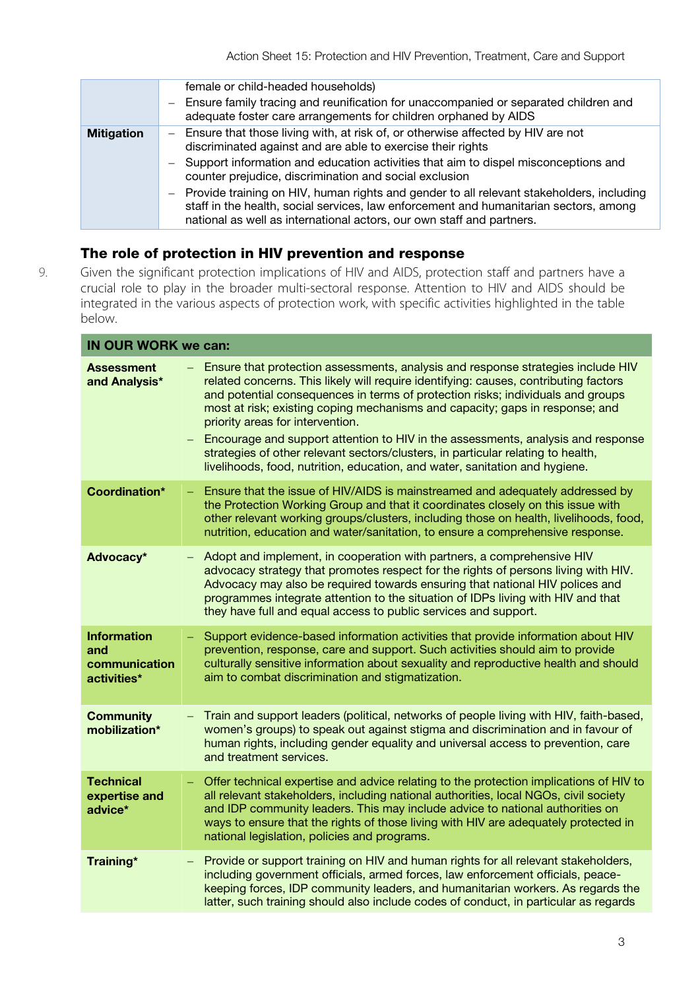|                   | female or child-headed households)<br>- Ensure family tracing and reunification for unaccompanied or separated children and<br>adequate foster care arrangements for children orphaned by AIDS                                                                                                                                                                                                                                                                                                                                                                   |
|-------------------|------------------------------------------------------------------------------------------------------------------------------------------------------------------------------------------------------------------------------------------------------------------------------------------------------------------------------------------------------------------------------------------------------------------------------------------------------------------------------------------------------------------------------------------------------------------|
| <b>Mitigation</b> | Ensure that those living with, at risk of, or otherwise affected by HIV are not<br>discriminated against and are able to exercise their rights<br>- Support information and education activities that aim to dispel misconceptions and<br>counter prejudice, discrimination and social exclusion<br>- Provide training on HIV, human rights and gender to all relevant stakeholders, including<br>staff in the health, social services, law enforcement and humanitarian sectors, among<br>national as well as international actors, our own staff and partners. |

# The role of protection in HIV prevention and response

9. Given the significant protection implications of HIV and AIDS, protection staff and partners have a crucial role to play in the broader multi-sectoral response. Attention to HIV and AIDS should be integrated in the various aspects of protection work, with specific activities highlighted in the table below.

| <b>IN OUR WORK we can:</b>                                |                                                                                                                                                                                                                                                                                                                                                                                                                                                                                                                                                                                                                                        |  |
|-----------------------------------------------------------|----------------------------------------------------------------------------------------------------------------------------------------------------------------------------------------------------------------------------------------------------------------------------------------------------------------------------------------------------------------------------------------------------------------------------------------------------------------------------------------------------------------------------------------------------------------------------------------------------------------------------------------|--|
| <b>Assessment</b><br>and Analysis*                        | Ensure that protection assessments, analysis and response strategies include HIV<br>related concerns. This likely will require identifying: causes, contributing factors<br>and potential consequences in terms of protection risks; individuals and groups<br>most at risk; existing coping mechanisms and capacity; gaps in response; and<br>priority areas for intervention.<br>Encourage and support attention to HIV in the assessments, analysis and response<br>strategies of other relevant sectors/clusters, in particular relating to health,<br>livelihoods, food, nutrition, education, and water, sanitation and hygiene. |  |
| Coordination*                                             | Ensure that the issue of HIV/AIDS is mainstreamed and adequately addressed by<br>÷<br>the Protection Working Group and that it coordinates closely on this issue with<br>other relevant working groups/clusters, including those on health, livelihoods, food,<br>nutrition, education and water/sanitation, to ensure a comprehensive response.                                                                                                                                                                                                                                                                                       |  |
| Advocacy*                                                 | Adopt and implement, in cooperation with partners, a comprehensive HIV<br>advocacy strategy that promotes respect for the rights of persons living with HIV.<br>Advocacy may also be required towards ensuring that national HIV polices and<br>programmes integrate attention to the situation of IDPs living with HIV and that<br>they have full and equal access to public services and support.                                                                                                                                                                                                                                    |  |
| <b>Information</b><br>and<br>communication<br>activities* | Support evidence-based information activities that provide information about HIV<br>prevention, response, care and support. Such activities should aim to provide<br>culturally sensitive information about sexuality and reproductive health and should<br>aim to combat discrimination and stigmatization.                                                                                                                                                                                                                                                                                                                           |  |
| <b>Community</b><br>mobilization*                         | Train and support leaders (political, networks of people living with HIV, faith-based,<br>women's groups) to speak out against stigma and discrimination and in favour of<br>human rights, including gender equality and universal access to prevention, care<br>and treatment services.                                                                                                                                                                                                                                                                                                                                               |  |
| <b>Technical</b><br>expertise and<br>advice*              | Offer technical expertise and advice relating to the protection implications of HIV to<br>all relevant stakeholders, including national authorities, local NGOs, civil society<br>and IDP community leaders. This may include advice to national authorities on<br>ways to ensure that the rights of those living with HIV are adequately protected in<br>national legislation, policies and programs.                                                                                                                                                                                                                                 |  |
| Training*                                                 | Provide or support training on HIV and human rights for all relevant stakeholders,<br>including government officials, armed forces, law enforcement officials, peace-<br>keeping forces, IDP community leaders, and humanitarian workers. As regards the<br>latter, such training should also include codes of conduct, in particular as regards                                                                                                                                                                                                                                                                                       |  |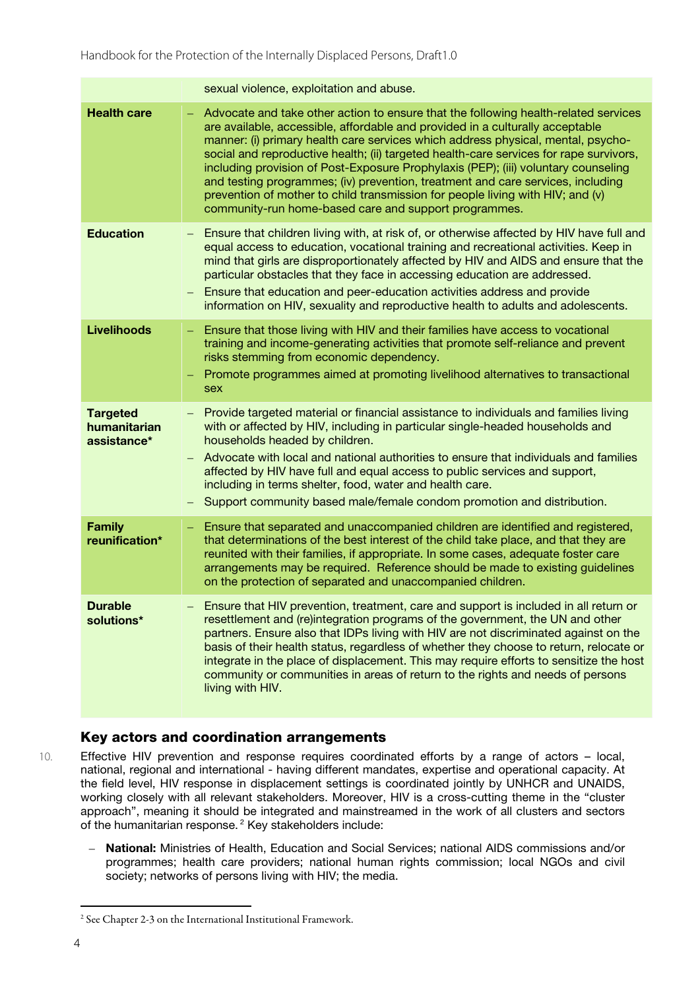|                                                | sexual violence, exploitation and abuse.                                                                                                                                                                                                                                                                                                                                                                                                                                                                                                                                                                                                                               |
|------------------------------------------------|------------------------------------------------------------------------------------------------------------------------------------------------------------------------------------------------------------------------------------------------------------------------------------------------------------------------------------------------------------------------------------------------------------------------------------------------------------------------------------------------------------------------------------------------------------------------------------------------------------------------------------------------------------------------|
| <b>Health care</b>                             | Advocate and take other action to ensure that the following health-related services<br>are available, accessible, affordable and provided in a culturally acceptable<br>manner: (i) primary health care services which address physical, mental, psycho-<br>social and reproductive health; (ii) targeted health-care services for rape survivors,<br>including provision of Post-Exposure Prophylaxis (PEP); (iii) voluntary counseling<br>and testing programmes; (iv) prevention, treatment and care services, including<br>prevention of mother to child transmission for people living with HIV; and (v)<br>community-run home-based care and support programmes. |
| <b>Education</b>                               | Ensure that children living with, at risk of, or otherwise affected by HIV have full and<br>equal access to education, vocational training and recreational activities. Keep in<br>mind that girls are disproportionately affected by HIV and AIDS and ensure that the<br>particular obstacles that they face in accessing education are addressed.<br>Ensure that education and peer-education activities address and provide<br>information on HIV, sexuality and reproductive health to adults and adolescents.                                                                                                                                                     |
| <b>Livelihoods</b>                             | Ensure that those living with HIV and their families have access to vocational<br>training and income-generating activities that promote self-reliance and prevent<br>risks stemming from economic dependency.<br>Promote programmes aimed at promoting livelihood alternatives to transactional<br>sex                                                                                                                                                                                                                                                                                                                                                                |
| <b>Targeted</b><br>humanitarian<br>assistance* | Provide targeted material or financial assistance to individuals and families living<br>with or affected by HIV, including in particular single-headed households and<br>households headed by children.<br>Advocate with local and national authorities to ensure that individuals and families<br>affected by HIV have full and equal access to public services and support,<br>including in terms shelter, food, water and health care.<br>Support community based male/female condom promotion and distribution.                                                                                                                                                    |
| <b>Family</b><br>reunification*                | Ensure that separated and unaccompanied children are identified and registered,<br>that determinations of the best interest of the child take place, and that they are<br>reunited with their families, if appropriate. In some cases, adequate foster care<br>arrangements may be required. Reference should be made to existing guidelines<br>on the protection of separated and unaccompanied children.                                                                                                                                                                                                                                                             |
| <b>Durable</b><br>solutions*                   | Ensure that HIV prevention, treatment, care and support is included in all return or<br>resettlement and (re)integration programs of the government, the UN and other<br>partners. Ensure also that IDPs living with HIV are not discriminated against on the<br>basis of their health status, regardless of whether they choose to return, relocate or<br>integrate in the place of displacement. This may require efforts to sensitize the host<br>community or communities in areas of return to the rights and needs of persons<br>living with HIV.                                                                                                                |

## Key actors and coordination arrangements

10. Effective HIV prevention and response requires coordinated efforts by a range of actors – local, national, regional and international - having different mandates, expertise and operational capacity. At the field level, HIV response in displacement settings is coordinated jointly by UNHCR and UNAIDS, working closely with all relevant stakeholders. Moreover, HIV is a cross-cutting theme in the "cluster approach", meaning it should be integrated and mainstreamed in the work of all clusters and sectors of the humanitarian response. <sup>2</sup> Key stakeholders include:

– National: Ministries of Health, Education and Social Services; national AIDS commissions and/or programmes; health care providers; national human rights commission; local NGOs and civil society; networks of persons living with HIV; the media.

1

<sup>2</sup> See Chapter 2-3 on the International Institutional Framework.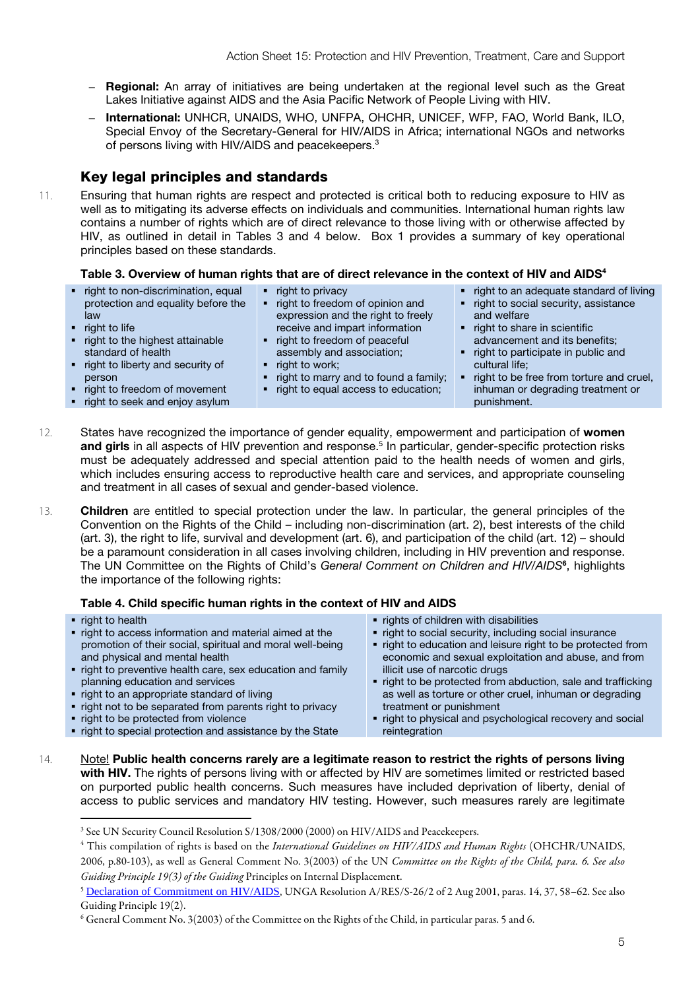- Regional: An array of initiatives are being undertaken at the regional level such as the Great Lakes Initiative against AIDS and the Asia Pacific Network of People Living with HIV.
- International: UNHCR, UNAIDS, WHO, UNFPA, OHCHR, UNICEF, WFP, FAO, World Bank, ILO, Special Envoy of the Secretary-General for HIV/AIDS in Africa; international NGOs and networks of persons living with HIV/AIDS and peacekeepers.3

## Key legal principles and standards

11. Ensuring that human rights are respect and protected is critical both to reducing exposure to HIV as well as to mitigating its adverse effects on individuals and communities. International human rights law contains a number of rights which are of direct relevance to those living with or otherwise affected by HIV, as outlined in detail in Tables 3 and 4 below. Box 1 provides a summary of key operational principles based on these standards.

#### Table 3. Overview of human rights that are of direct relevance in the context of HIV and AIDS<sup>4</sup>

- right to non-discrimination, equal protection and equality before the law
- $\blacksquare$  right to life

<u>.</u>

- right to the highest attainable standard of health
- right to liberty and security of person
	-
- right to freedom of movement • right to seek and enjoy asylum
- 
- right to privacy
- right to freedom of opinion and expression and the right to freely receive and impart information
- right to freedom of peaceful assembly and association;
- 
- right to work;
- right to marry and to found a family;
- right to equal access to education;
- right to an adequate standard of living right to social security, assistance
- and welfare right to share in scientific
- advancement and its benefits; right to participate in public and cultural life;
- right to be free from torture and cruel, inhuman or degrading treatment or punishment.
- 12. States have recognized the importance of gender equality, empowerment and participation of women and girls in all aspects of HIV prevention and response.<sup>5</sup> In particular, gender-specific protection risks must be adequately addressed and special attention paid to the health needs of women and girls, which includes ensuring access to reproductive health care and services, and appropriate counseling and treatment in all cases of sexual and gender-based violence.
- 13. Children are entitled to special protection under the law. In particular, the general principles of the Convention on the Rights of the Child – including non-discrimination (art. 2), best interests of the child (art. 3), the right to life, survival and development (art. 6), and participation of the child (art. 12) – should be a paramount consideration in all cases involving children, including in HIV prevention and response. The UN Committee on the Rights of Child's *General Comment on Children and HIV/AIDS*<sup>6</sup> , highlights the importance of the following rights:

#### Table 4. Child specific human rights in the context of HIV and AIDS

- right to health • right to access information and material aimed at the promotion of their social, spiritual and moral well-being and physical and mental health • right to preventive health care, sex education and family planning education and services • right to an appropriate standard of living • right not to be separated from parents right to privacy • right to be protected from violence • rights of children with disabilities • right to social security, including social insurance right to education and leisure right to be protected from economic and sexual exploitation and abuse, and from illicit use of narcotic drugs • right to be protected from abduction, sale and trafficking treatment or punishment
	- right to special protection and assistance by the State
- as well as torture or other cruel, inhuman or degrading
- right to physical and psychological recovery and social reintegration
- 14. Note! Public health concerns rarely are a legitimate reason to restrict the rights of persons living with HIV. The rights of persons living with or affected by HIV are sometimes limited or restricted based on purported public health concerns. Such measures have included deprivation of liberty, denial of access to public services and mandatory HIV testing. However, such measures rarely are legitimate

<sup>3</sup> See UN Security Council Resolution S/1308/2000 (2000) on HIV/AIDS and Peacekeepers.

<sup>4</sup> This compilation of rights is based on the *International Guidelines on HIV/AIDS and Human Rights* (OHCHR/UNAIDS, 2006, p.80-103), as well as General Comment No. 3(2003) of the UN *Committee on the Rights of the Child, para. 6. See also Guiding Principle 19(3) of the Guiding* Principles on Internal Displacement.<br><sup>5</sup> <u>[Declaration of Commitment on HIV/AIDS](http://www.unhcr.org/cgi-bin/texis/vtx/refworld/rwmain?docid=3dda1a037)</u>, UNGA Resolution A/RES/S-26/2 of 2 Aug 2001, paras. 14, 37, 58–62. See also

Guiding Principle 19(2).

<sup>6</sup> General Comment No. 3(2003) of the Committee on the Rights of the Child, in particular paras. 5 and 6.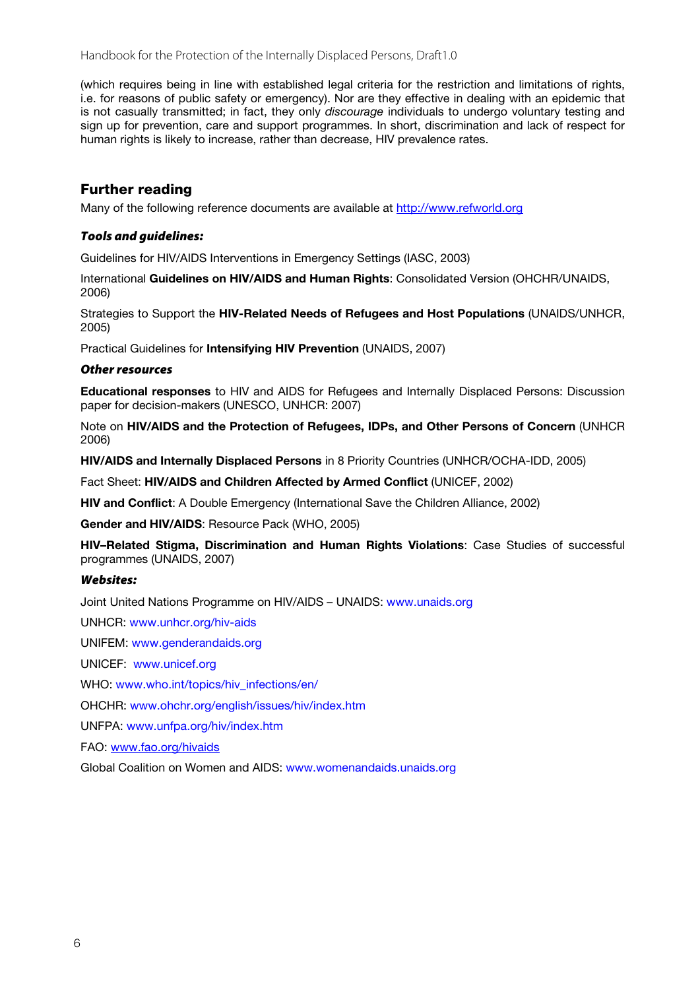Handbook for the Protection of the Internally Displaced Persons, Draft1.0

(which requires being in line with established legal criteria for the restriction and limitations of rights, i.e. for reasons of public safety or emergency). Nor are they effective in dealing with an epidemic that is not casually transmitted; in fact, they only *discourage* individuals to undergo voluntary testing and sign up for prevention, care and support programmes. In short, discrimination and lack of respect for human rights is likely to increase, rather than decrease. HIV prevalence rates.

## Further reading

Many of the following reference documents are available a[t http://www.refworld.org](http://www.refworld.org/)

## *Tools and guidelines:*

Guidelines for HIV/AIDS Interventions in Emergency Settings (IASC, 2003)

International Guidelines on HIV/AIDS and Human Rights: Consolidated Version (OHCHR/UNAIDS, 2006)

Strategies to Support the HIV-Related Needs of Refugees and Host Populations (UNAIDS/UNHCR, 2005)

Practical Guidelines for Intensifying HIV Prevention (UNAIDS, 2007)

#### *Other resources*

Educational responses to HIV and AIDS for Refugees and Internally Displaced Persons: Discussion paper for decision-makers (UNESCO, UNHCR: 2007)

Note on HIV/AIDS and the Protection of Refugees, IDPs, and Other Persons of Concern (UNHCR 2006)

HIV/AIDS and Internally Displaced Persons in 8 Priority Countries (UNHCR/OCHA-IDD, 2005)

Fact Sheet: HIV/AIDS and Children Affected by Armed Conflict (UNICEF, 2002)

HIV and Conflict: A Double Emergency (International Save the Children Alliance, 2002)

Gender and HIV/AIDS: Resource Pack (WHO, 2005)

HIV–Related Stigma, Discrimination and Human Rights Violations: Case Studies of successful programmes (UNAIDS, 2007)

#### *Websites:*

Joint United Nations Programme on HIV/AIDS – UNAIDS: www.unaids.org

UNHCR: www.unhcr.org/hiv-aids

UNIFEM: www.genderandaids.org

UNICEF: www.unicef.org

WHO: www.who.int/topics/hiv\_infections/en/

OHCHR: www.ohchr.org/english/issues/hiv/index.htm

UNFPA: www.unfpa.org/hiv/index.htm

FAO[: www.fao.org/hivaids](http://www.fao.org/hivaids)

Global Coalition on Women and AIDS: www.womenandaids.unaids.org